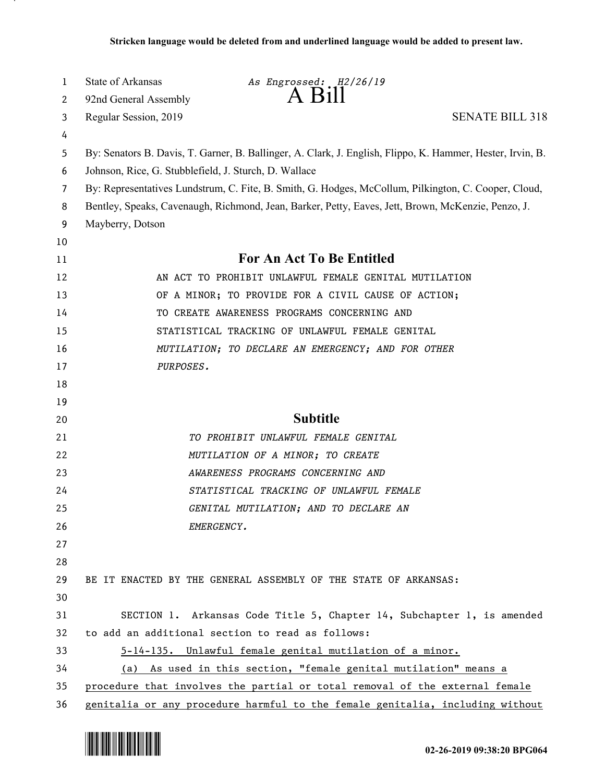| 1  | <b>State of Arkansas</b>                              | As Engrossed: H2/26/19                                                                                     |
|----|-------------------------------------------------------|------------------------------------------------------------------------------------------------------------|
| 2  | 92nd General Assembly                                 | A B111                                                                                                     |
| 3  | Regular Session, 2019                                 | <b>SENATE BILL 318</b>                                                                                     |
| 4  |                                                       |                                                                                                            |
| 5  |                                                       | By: Senators B. Davis, T. Garner, B. Ballinger, A. Clark, J. English, Flippo, K. Hammer, Hester, Irvin, B. |
| 6  | Johnson, Rice, G. Stubblefield, J. Sturch, D. Wallace |                                                                                                            |
| 7  |                                                       | By: Representatives Lundstrum, C. Fite, B. Smith, G. Hodges, McCollum, Pilkington, C. Cooper, Cloud,       |
| 8  |                                                       | Bentley, Speaks, Cavenaugh, Richmond, Jean, Barker, Petty, Eaves, Jett, Brown, McKenzie, Penzo, J.         |
| 9  | Mayberry, Dotson                                      |                                                                                                            |
| 10 |                                                       |                                                                                                            |
| 11 |                                                       | For An Act To Be Entitled                                                                                  |
| 12 |                                                       | AN ACT TO PROHIBIT UNLAWFUL FEMALE GENITAL MUTILATION                                                      |
| 13 |                                                       | OF A MINOR; TO PROVIDE FOR A CIVIL CAUSE OF ACTION;                                                        |
| 14 |                                                       | TO CREATE AWARENESS PROGRAMS CONCERNING AND                                                                |
| 15 |                                                       | STATISTICAL TRACKING OF UNLAWFUL FEMALE GENITAL                                                            |
| 16 |                                                       | MUTILATION; TO DECLARE AN EMERGENCY; AND FOR OTHER                                                         |
| 17 | PURPOSES.                                             |                                                                                                            |
| 18 |                                                       |                                                                                                            |
| 19 |                                                       |                                                                                                            |
| 20 |                                                       | <b>Subtitle</b>                                                                                            |
| 21 |                                                       | TO PROHIBIT UNLAWFUL FEMALE GENITAL                                                                        |
| 22 |                                                       | MUTILATION OF A MINOR; TO CREATE                                                                           |
| 23 |                                                       | AWARENESS PROGRAMS CONCERNING AND                                                                          |
| 24 |                                                       | STATISTICAL TRACKING OF UNLAWFUL FEMALE                                                                    |
| 25 |                                                       | GENITAL MUTILATION; AND TO DECLARE AN                                                                      |
| 26 | EMERGENCY.                                            |                                                                                                            |
| 27 |                                                       |                                                                                                            |
| 28 |                                                       |                                                                                                            |
| 29 |                                                       | BE IT ENACTED BY THE GENERAL ASSEMBLY OF THE STATE OF ARKANSAS:                                            |
| 30 |                                                       |                                                                                                            |
| 31 |                                                       | SECTION 1. Arkansas Code Title 5, Chapter 14, Subchapter 1, is amended                                     |
| 32 | to add an additional section to read as follows:      |                                                                                                            |
| 33 |                                                       | 5-14-135. Unlawful female genital mutilation of a minor.                                                   |
| 34 |                                                       | (a) As used in this section, "female genital mutilation" means a                                           |
| 35 |                                                       | procedure that involves the partial or total removal of the external female                                |
| 36 |                                                       | genitalia or any procedure harmful to the female genitalia, including without                              |

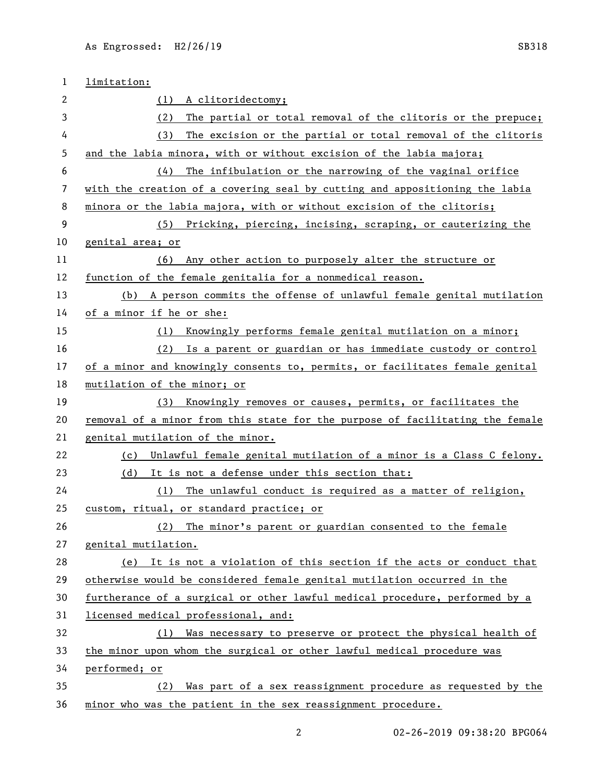| 1  | limitation:                                                                   |
|----|-------------------------------------------------------------------------------|
| 2  | A clitoridectomy;<br>(1)                                                      |
| 3  | The partial or total removal of the clitoris or the prepuce;<br>(2)           |
| 4  | The excision or the partial or total removal of the clitoris<br>(3)           |
| 5  | and the labia minora, with or without excision of the labia majora;           |
| 6  | The infibulation or the narrowing of the vaginal orifice<br>(4)               |
| 7  | with the creation of a covering seal by cutting and appositioning the labia   |
| 8  | minora or the labia majora, with or without excision of the clitoris;         |
| 9  | (5) Pricking, piercing, incising, scraping, or cauterizing the                |
| 10 | genital area; or                                                              |
| 11 | Any other action to purposely alter the structure or<br>(6)                   |
| 12 | function of the female genitalia for a nonmedical reason.                     |
| 13 | (b) A person commits the offense of unlawful female genital mutilation        |
| 14 | of a minor if he or she:                                                      |
| 15 | Knowingly performs female genital mutilation on a minor;<br>(1)               |
| 16 | Is a parent or guardian or has immediate custody or control<br>(2)            |
| 17 | of a minor and knowingly consents to, permits, or facilitates female genital  |
| 18 | mutilation of the minor; or                                                   |
| 19 | Knowingly removes or causes, permits, or facilitates the<br>(3)               |
| 20 | removal of a minor from this state for the purpose of facilitating the female |
| 21 | genital mutilation of the minor.                                              |
| 22 | Unlawful female genital mutilation of a minor is a Class C felony.<br>(c)     |
| 23 | It is not a defense under this section that:<br>(d)                           |
| 24 | The unlawful conduct is required as a matter of religion,<br>(1)              |
| 25 | custom, ritual, or standard practice; or                                      |
| 26 | (2) The minor's parent or guardian consented to the female                    |
| 27 | genital mutilation.                                                           |
| 28 | (e) It is not a violation of this section if the acts or conduct that         |
| 29 | otherwise would be considered female genital mutilation occurred in the       |
| 30 | furtherance of a surgical or other lawful medical procedure, performed by a   |
| 31 | licensed medical professional, and:                                           |
| 32 | Was necessary to preserve or protect the physical health of<br>(1)            |
| 33 | the minor upon whom the surgical or other lawful medical procedure was        |
| 34 | performed; or                                                                 |
| 35 | Was part of a sex reassignment procedure as requested by the<br>(2)           |
| 36 | minor who was the patient in the sex reassignment procedure.                  |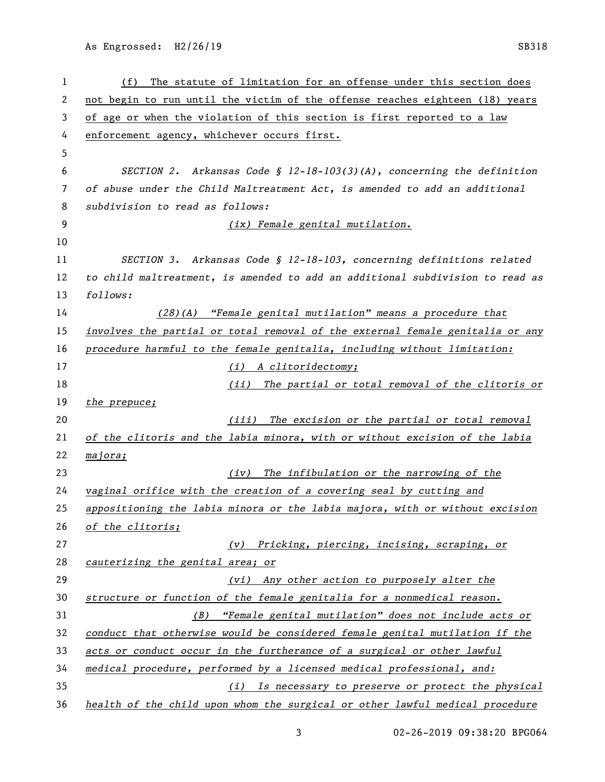As Engrossed: H2/26/19 SB318

| 1  | The statute of limitation for an offense under this section does<br>(f)       |
|----|-------------------------------------------------------------------------------|
| 2  | not begin to run until the victim of the offense reaches eighteen (18) years  |
| 3  | of age or when the violation of this section is first reported to a law       |
| 4  | enforcement agency, whichever occurs first.                                   |
| 5  |                                                                               |
| 6  | SECTION 2. Arkansas Code § 12-18-103(3)(A), concerning the definition         |
| 7  | of abuse under the Child Maltreatment Act, is amended to add an additional    |
| 8  | subdivision to read as follows:                                               |
| 9  | (ix) Female genital mutilation.                                               |
| 10 |                                                                               |
| 11 | SECTION 3. Arkansas Code § 12-18-103, concerning definitions related          |
| 12 | to child maltreatment, is amended to add an additional subdivision to read as |
| 13 | follows:                                                                      |
| 14 | $(28)(A)$ "Female genital mutilation" means a procedure that                  |
| 15 | involves the partial or total removal of the external female genitalia or any |
| 16 | procedure harmful to the female genitalia, including without limitation:      |
| 17 | (i) A clitoridectomy;                                                         |
| 18 | The partial or total removal of the clitoris or<br>(ii)                       |
| 19 | the prepuce;                                                                  |
| 20 | (iii) The excision or the partial or total removal                            |
| 21 | of the clitoris and the labia minora, with or without excision of the labia   |
| 22 | majora;                                                                       |
| 23 | The infibulation or the narrowing of the<br>(iv)                              |
| 24 | vaginal orifice with the creation of a covering seal by cutting and           |
| 25 | appositioning the labia minora or the labia majora, with or without excision  |
| 26 | of the clitoris;                                                              |
| 27 | (v) Pricking, piercing, incising, scraping, or                                |
| 28 | cauterizing the genital area; or                                              |
| 29 | Any other action to purposely alter the<br>(vi)                               |
| 30 | structure or function of the female genitalia for a nonmedical reason.        |
| 31 | "Female genital mutilation" does not include acts or<br>( <i>B</i> )          |
| 32 | conduct that otherwise would be considered female genital mutilation if the   |
| 33 | acts or conduct occur in the furtherance of a surgical or other lawful        |
| 34 | medical procedure, performed by a licensed medical professional, and:         |
| 35 | Is necessary to preserve or protect the physical<br>(i)                       |
| 36 | health of the child upon whom the surgical or other lawful medical procedure  |

02-26-2019 09:38:20 BPG064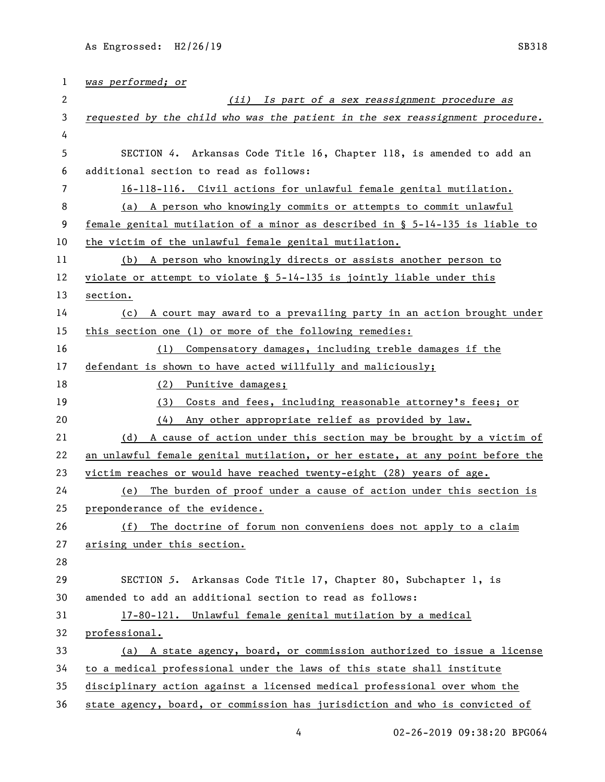| 1                     | was performed; or                                                               |
|-----------------------|---------------------------------------------------------------------------------|
| $\mathbf{2}^{\prime}$ | (ii) Is part of a sex reassignment procedure as                                 |
| 3                     | requested by the child who was the patient in the sex reassignment procedure.   |
| 4                     |                                                                                 |
| 5                     | SECTION 4. Arkansas Code Title 16, Chapter 118, is amended to add an            |
| 6                     | additional section to read as follows:                                          |
| 7                     | 16-118-116. Civil actions for unlawful female genital mutilation.               |
| 8                     | A person who knowingly commits or attempts to commit unlawful<br>(a)            |
| 9                     | female genital mutilation of a minor as described in $\S$ 5-14-135 is liable to |
| 10                    | the victim of the unlawful female genital mutilation.                           |
| 11                    | (b) A person who knowingly directs or assists another person to                 |
| 12                    | violate or attempt to violate $\S$ 5-14-135 is jointly liable under this        |
| 13                    | section.                                                                        |
| 14                    | (c) A court may award to a prevailing party in an action brought under          |
| 15                    | this section one (1) or more of the following remedies:                         |
| 16                    | Compensatory damages, including treble damages if the<br>(1)                    |
| 17                    | defendant is shown to have acted willfully and maliciously;                     |
| 18                    | (2)<br>Punitive damages;                                                        |
| 19                    | Costs and fees, including reasonable attorney's fees; or<br>(3)                 |
| 20                    | Any other appropriate relief as provided by law.<br>(4)                         |
| 21                    | A cause of action under this section may be brought by a victim of<br>(d)       |
| 22                    | an unlawful female genital mutilation, or her estate, at any point before the   |
| 23                    | victim reaches or would have reached twenty-eight (28) years of age.            |
| 24                    | The burden of proof under a cause of action under this section is<br>(e)        |
| 25                    | preponderance of the evidence.                                                  |
| 26                    | The doctrine of forum non conveniens does not apply to a claim<br>(f)           |
| 27                    | arising under this section.                                                     |
| 28                    |                                                                                 |
| 29                    | SECTION 5. Arkansas Code Title 17, Chapter 80, Subchapter 1, is                 |
| 30                    | amended to add an additional section to read as follows:                        |
| 31                    | 17-80-121. Unlawful female genital mutilation by a medical                      |
| 32                    | professional.                                                                   |
| 33                    | (a) A state agency, board, or commission authorized to issue a license          |
| 34                    | to a medical professional under the laws of this state shall institute          |
| 35                    | disciplinary action against a licensed medical professional over whom the       |
| 36                    | state agency, board, or commission has jurisdiction and who is convicted of     |

4 02-26-2019 09:38:20 BPG064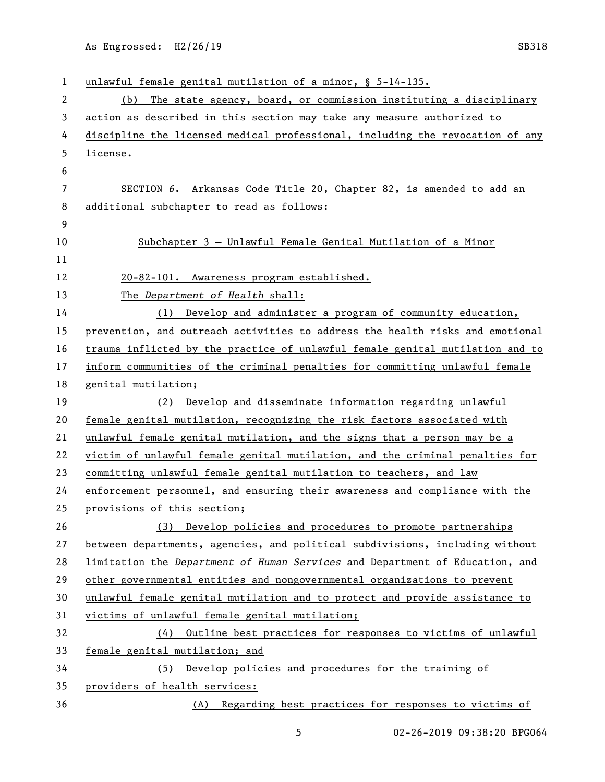As Engrossed: H2/26/19 SB318

| 1  | unlawful female genital mutilation of a minor, § 5-14-135.                    |
|----|-------------------------------------------------------------------------------|
| 2  | The state agency, board, or commission instituting a disciplinary<br>(b)      |
| 3  | action as described in this section may take any measure authorized to        |
| 4  | discipline the licensed medical professional, including the revocation of any |
| 5  | license.                                                                      |
| 6  |                                                                               |
| 7  | SECTION 6. Arkansas Code Title 20, Chapter 82, is amended to add an           |
| 8  | additional subchapter to read as follows:                                     |
| 9  |                                                                               |
| 10 | Subchapter 3 - Unlawful Female Genital Mutilation of a Minor                  |
| 11 |                                                                               |
| 12 | 20-82-101. Awareness program established.                                     |
| 13 | The Department of Health shall:                                               |
| 14 | (1) Develop and administer a program of community education,                  |
| 15 | prevention, and outreach activities to address the health risks and emotional |
| 16 | trauma inflicted by the practice of unlawful female genital mutilation and to |
| 17 | inform communities of the criminal penalties for committing unlawful female   |
| 18 | genital mutilation;                                                           |
| 19 | (2) Develop and disseminate information regarding unlawful                    |
| 20 | female genital mutilation, recognizing the risk factors associated with       |
| 21 | unlawful female genital mutilation, and the signs that a person may be a      |
| 22 | victim of unlawful female genital mutilation, and the criminal penalties for  |
| 23 | committing unlawful female genital mutilation to teachers, and law            |
| 24 | enforcement personnel, and ensuring their awareness and compliance with the   |
| 25 | provisions of this section;                                                   |
| 26 | (3) Develop policies and procedures to promote partnerships                   |
| 27 | between departments, agencies, and political subdivisions, including without  |
| 28 | limitation the Department of Human Services and Department of Education, and  |
| 29 | other governmental entities and nongovernmental organizations to prevent      |
| 30 | unlawful female genital mutilation and to protect and provide assistance to   |
| 31 | victims of unlawful female genital mutilation;                                |
| 32 | Outline best practices for responses to victims of unlawful<br>(4)            |
| 33 | female genital mutilation; and                                                |
| 34 | (5) Develop policies and procedures for the training of                       |
| 35 | providers of health services:                                                 |
| 36 | (A) Regarding best practices for responses to victims of                      |

02-26-2019 09:38:20 BPG064